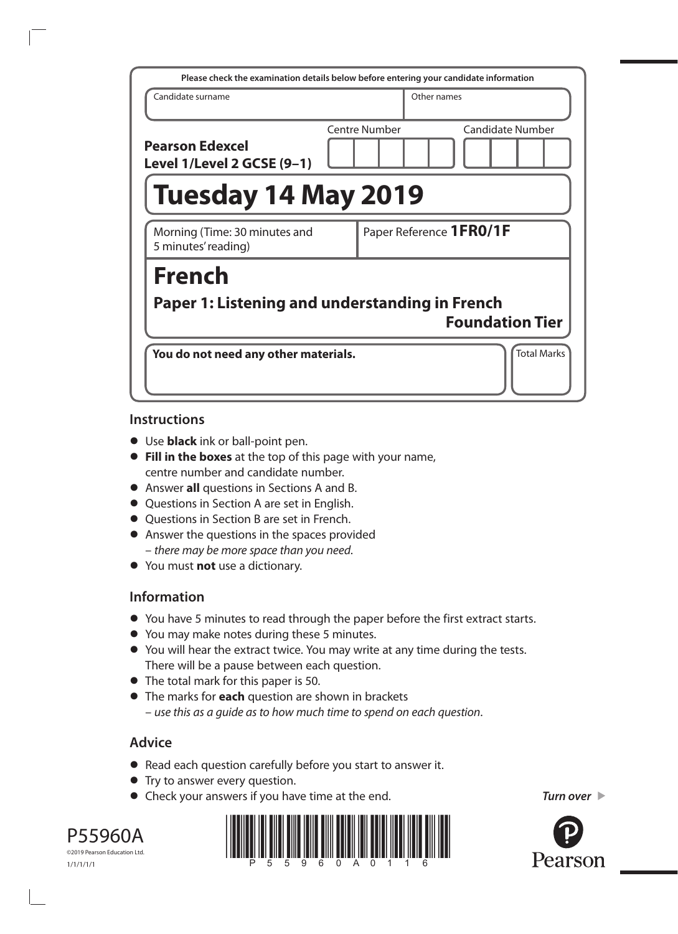|                                                      | Please check the examination details below before entering your candidate information |
|------------------------------------------------------|---------------------------------------------------------------------------------------|
| Candidate surname                                    | Other names                                                                           |
| <b>Pearson Edexcel</b><br>Level 1/Level 2 GCSE (9-1) | Centre Number<br>Candidate Number                                                     |
| <b>Tuesday 14 May 2019</b>                           |                                                                                       |
| Morning (Time: 30 minutes and<br>5 minutes' reading) | Paper Reference 1FR0/1F                                                               |
| <b>French</b>                                        |                                                                                       |
| Paper 1: Listening and understanding in French       | <b>Foundation Tier</b>                                                                |
| You do not need any other materials.                 | <b>Total Marks</b>                                                                    |

### **Instructions**

- **•** Use **black** ink or ball-point pen.
- **• Fill in the boxes** at the top of this page with your name, centre number and candidate number.
- **•** Answer **all** questions in Sections A and B.
- **•** Questions in Section A are set in English.
- **•** Questions in Section B are set in French.
- **•** Answer the questions in the spaces provided – *there may be more space than you need*.
- **•** You must **not** use a dictionary.

### **Information**

- **•** You have 5 minutes to read through the paper before the first extract starts.
- **•** You may make notes during these 5 minutes.
- **•** You will hear the extract twice. You may write at any time during the tests. There will be a pause between each question.
- **•** The total mark for this paper is 50.
- **•** The marks for **each** question are shown in brackets – *use this as a guide as to how much time to spend on each question*.

# **Advice**

- **•** Read each question carefully before you start to answer it.
- **•** Try to answer every question.
- **•** Check your answers if you have time at the end.



1/1/1/1/1



*Turn over* 

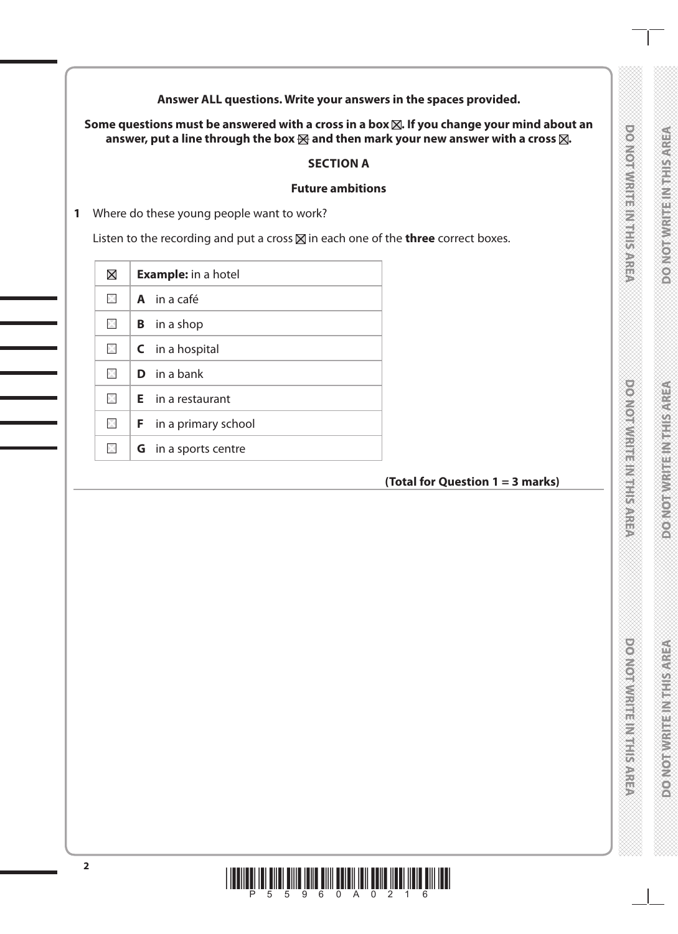**Answer ALL questions. Write your answers in the spaces provided.**

Some questions must be answered with a cross in a box  $\boxtimes$ . If you change your mind about an answer, put a line through the box  $\boxtimes$  and then mark your new answer with a cross  $\boxtimes$ .

### **SECTION A**

### **Future ambitions**

**1** Where do these young people want to work?

Listen to the recording and put a cross  $\boxtimes$  in each one of the **three** correct boxes.

| $\boxtimes$    |                    | <b>Example:</b> in a hotel   |
|----------------|--------------------|------------------------------|
| $\mathbb{R}$   | <b>A</b> in a café |                              |
| $\times$       |                    | <b>B</b> in a shop           |
| $\times$       |                    | $\mathsf C$ in a hospital    |
| X              |                    | $\mathbf{D}$ in a bank       |
| $\mathbb{X}$   |                    | $E$ in a restaurant          |
| $>\frac{1}{2}$ |                    | <b>F</b> in a primary school |
| X              |                    | <b>G</b> in a sports centre  |

# **(Total for Question 1 = 3 marks)**

**DOMORWRITENMIEISARES** 

**DOMORATION IN ENGINEER** 

**DOMOROWING** 

**DOATORWRITEIN IT SARES** 

**RESINGER IN ESTADO AND DISPOS** 

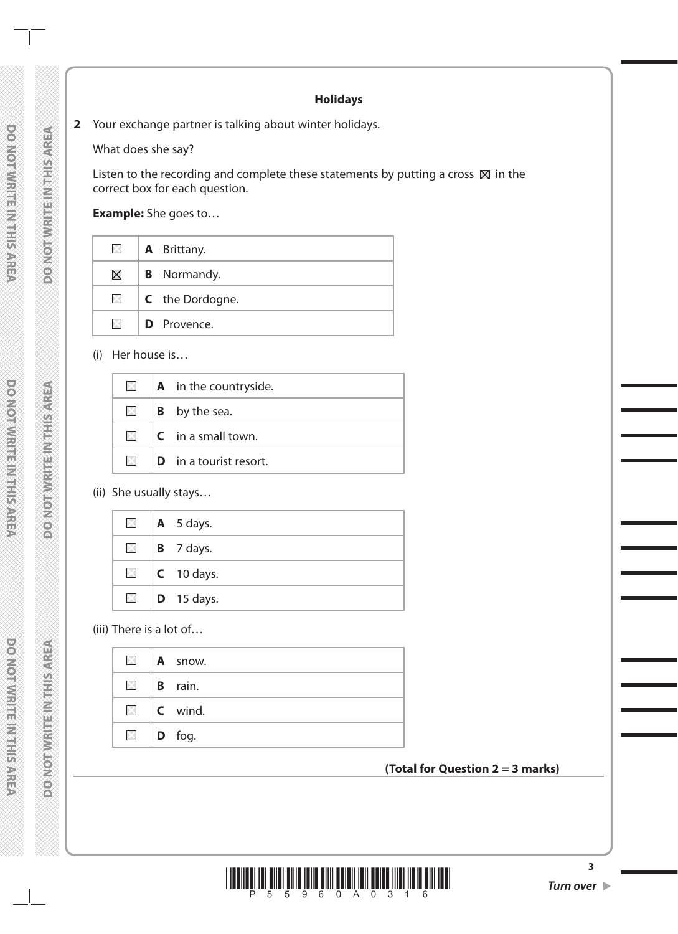### **Holidays**

**2** Your exchange partner is talking about winter holidays.

What does she say?

Listen to the recording and complete these statements by putting a cross  $\boxtimes$  in the correct box for each question.

**Example:** She goes to…

| $\boxtimes$  | <b>A</b> Brittany.     |
|--------------|------------------------|
| $\boxtimes$  | <b>B</b> Normandy.     |
| $\mathbb{Z}$ | <b>C</b> the Dordogne. |
| ÞЗ           | <b>D</b> Provence.     |

(i) Her house is…

| $\times$ . | $\mathbf A$ in the countryside.                                                                                                                                                                                                                                                                                                                                                                                                                                                              |
|------------|----------------------------------------------------------------------------------------------------------------------------------------------------------------------------------------------------------------------------------------------------------------------------------------------------------------------------------------------------------------------------------------------------------------------------------------------------------------------------------------------|
|            | $\boxtimes$   <b>B</b> by the sea.                                                                                                                                                                                                                                                                                                                                                                                                                                                           |
|            | $\boxtimes$ $\blacksquare$ $\blacksquare$ $\blacksquare$ $\blacksquare$ $\blacksquare$ $\blacksquare$ $\blacksquare$ $\blacksquare$ $\blacksquare$ $\blacksquare$ $\blacksquare$ $\blacksquare$ $\blacksquare$ $\blacksquare$ $\blacksquare$ $\blacksquare$ $\blacksquare$ $\blacksquare$ $\blacksquare$ $\blacksquare$ $\blacksquare$ $\blacksquare$ $\blacksquare$ $\blacksquare$ $\blacksquare$ $\blacksquare$ $\blacksquare$ $\blacksquare$ $\blacksquare$ $\blacksquare$ $\blacksquare$ |
|            | $\boxtimes$ <b>D</b> in a tourist resort.                                                                                                                                                                                                                                                                                                                                                                                                                                                    |

# (ii) She usually stays…

|  | $\blacksquare$   A 5 days.        |
|--|-----------------------------------|
|  | $\blacksquare$   <b>B</b> 7 days. |
|  | $\blacksquare$   C 10 days.       |
|  | $\Box$ <b>D</b> 15 days.          |

(iii) There is a lot of…

|              | $\blacksquare$   A snow.        |
|--------------|---------------------------------|
|              | $\blacksquare$   <b>B</b> rain. |
| $\mathsf{X}$ | $\mathsf{C}$ wind.              |
| $\times$     | $\vert$ <b>D</b> fog.           |

### **(Total for Question 2 = 3 marks)**



**3**

**DO NOTWRITEINITISAREA** 

**DOMORATE INTHIS AREA** 

**DOMOTWRITEINTHIS AREA**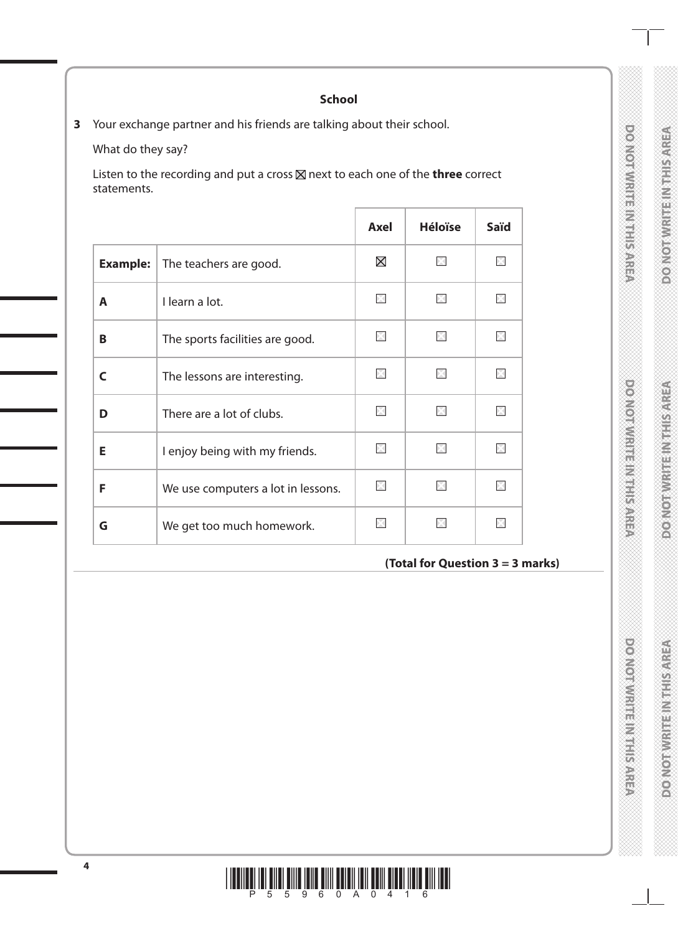DONOTWRITE IN THIS AREA

**DOOMOODWARE MARKETING** 

**DOMOITIVE HE NEEDS ARE** 

### **School**

**3** Your exchange partner and his friends are talking about their school.

What do they say?

Listen to the recording and put a cross  $\times$  next to each one of the **three** correct statements.

|                 |                                    | Axel        | <b>Héloïse</b> | <b>Saïd</b> |
|-----------------|------------------------------------|-------------|----------------|-------------|
| <b>Example:</b> | The teachers are good.             | $\boxtimes$ | X              |             |
| A               | I learn a lot.                     | ×           | X              |             |
| В               | The sports facilities are good.    |             |                |             |
| C               | The lessons are interesting.       | ×           | X              |             |
| D               | There are a lot of clubs.          | $\infty$    | IЖ             |             |
| E               | I enjoy being with my friends.     | X           | $\times$       |             |
| F               | We use computers a lot in lessons. |             |                |             |
| G               | We get too much homework.          |             |                |             |

# **(Total for Question 3 = 3 marks)**

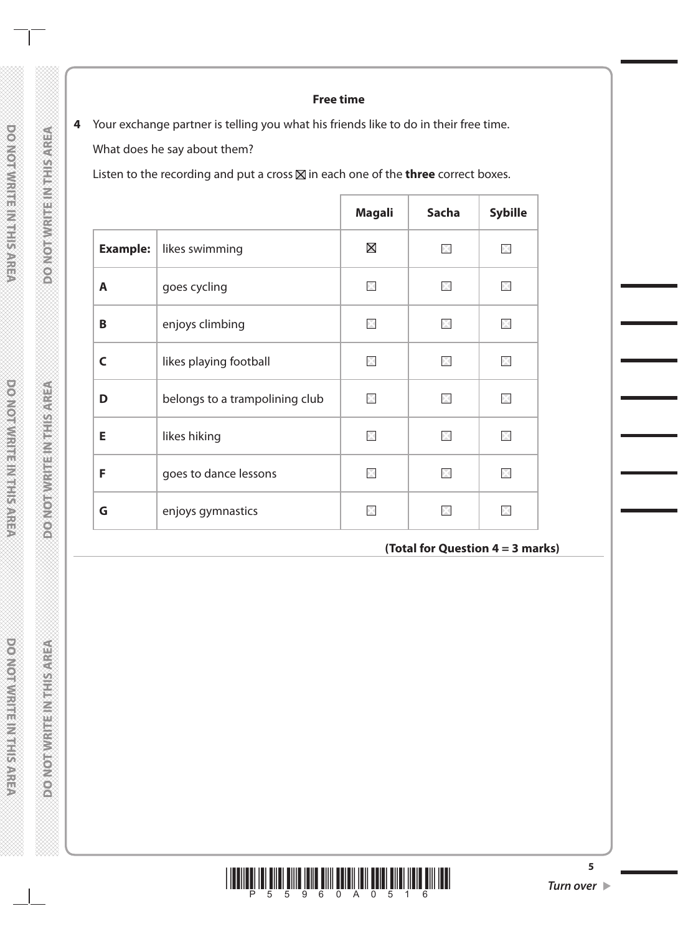### **Free time**

**4** Your exchange partner is telling you what his friends like to do in their free time. What does he say about them?

Listen to the recording and put a cross  $\boxtimes$  in each one of the **three** correct boxes.

|                 |                                | <b>Magali</b> | <b>Sacha</b> | <b>Sybille</b>     |
|-----------------|--------------------------------|---------------|--------------|--------------------|
| <b>Example:</b> | likes swimming                 | $\boxtimes$   | X            | $>\leftthreetimes$ |
| A               | goes cycling                   | $\times$      | $\mathbb{X}$ |                    |
| B               | enjoys climbing                | ×             | X            |                    |
| C               | likes playing football         | $\times$      | X            | ÞЗ                 |
| D               | belongs to a trampolining club | $\times$      | X            | $\times$           |
| E               | likes hiking                   | X             | X            | $\mathbb{N}$       |
| F               | goes to dance lessons          | ×             | X            |                    |
| G               | enjoys gymnastics              |               |              |                    |

**(Total for Question 4 = 3 marks)**



**5**

DO NOTAWRITE IN THIS AREA

**DO NOTWRITEINITISAREA** 

**DOMOTIVIRE INTERNATIONAL** 

**DOMOTHER HEADS** 

**DO NOT WRITE/NATHS/AREA** 

**DOMOTWRITE INTHIS AREA**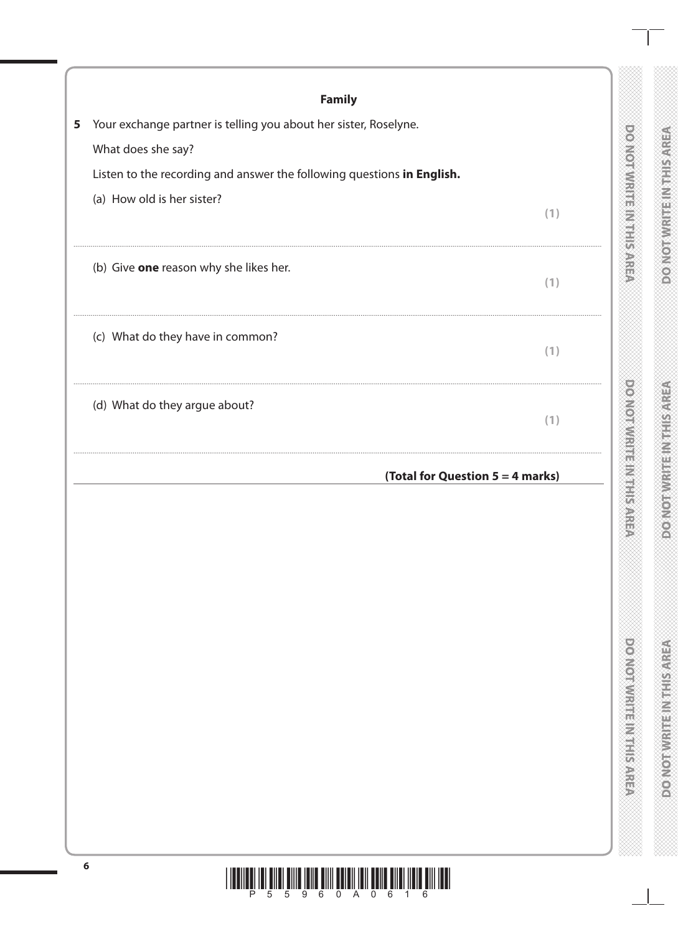|   | <b>Family</b>                                                                                        |                                    |                                    |
|---|------------------------------------------------------------------------------------------------------|------------------------------------|------------------------------------|
| 5 | Your exchange partner is telling you about her sister, Roselyne.                                     |                                    |                                    |
|   | What does she say?                                                                                   |                                    |                                    |
|   | Listen to the recording and answer the following questions in English.<br>(a) How old is her sister? |                                    |                                    |
|   | (1)                                                                                                  | $\frac{1}{11}$                     | METHER CONSOL                      |
|   | (b) Give one reason why she likes her.<br>(1)                                                        |                                    |                                    |
|   | (c) What do they have in common?<br>(1)                                                              |                                    |                                    |
|   | (d) What do they argue about?<br>(1)                                                                 | <b>STRAIGROUTS</b>                 |                                    |
|   | (Total for Question 5 = 4 marks)                                                                     |                                    | <b>ANG BEAT</b>                    |
|   |                                                                                                      |                                    | L)                                 |
|   |                                                                                                      | <b>Download Principal Sections</b> | <b>ROMO MARKET MARKET DESCRIPT</b> |
|   |                                                                                                      |                                    |                                    |

# $\mathbb{H}$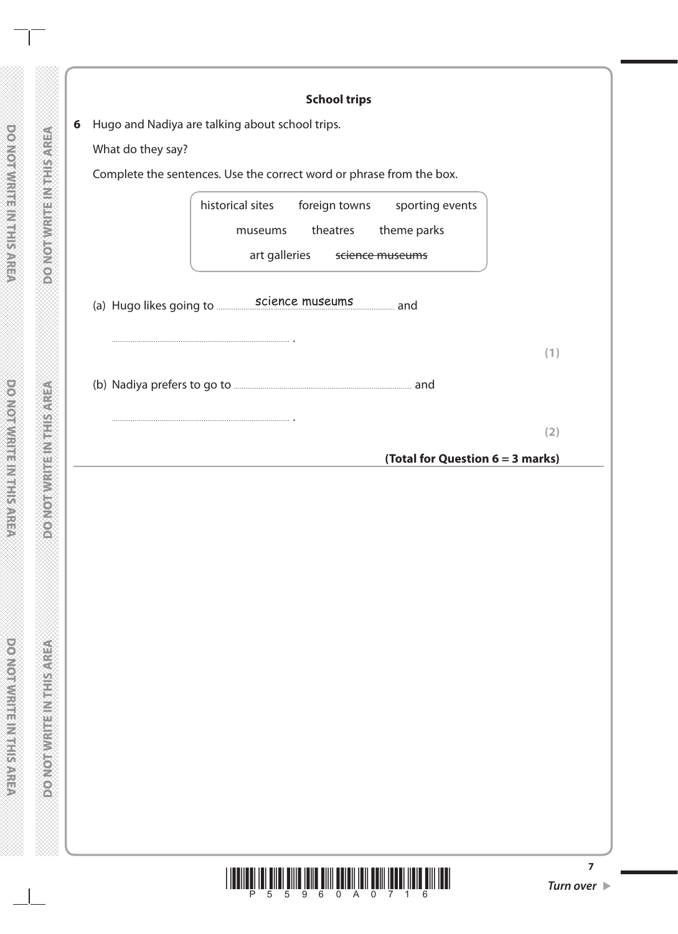|                   | Hugo and Nadiya are talking about school trips.                                                                                |
|-------------------|--------------------------------------------------------------------------------------------------------------------------------|
| What do they say? |                                                                                                                                |
|                   | Complete the sentences. Use the correct word or phrase from the box.                                                           |
|                   | historical sites<br>foreign towns<br>sporting events<br>theme parks<br>theatres<br>museums<br>art galleries<br>science museums |
|                   | (a) Hugo likes going to science museums and                                                                                    |
|                   | (1)                                                                                                                            |
|                   |                                                                                                                                |
|                   | (2)                                                                                                                            |
|                   | (Total for Question 6 = 3 marks)                                                                                               |
|                   |                                                                                                                                |
|                   |                                                                                                                                |

DO NOT WRITEIN THIS AREA

**DOMOTIVIRITE IN THIS AREA**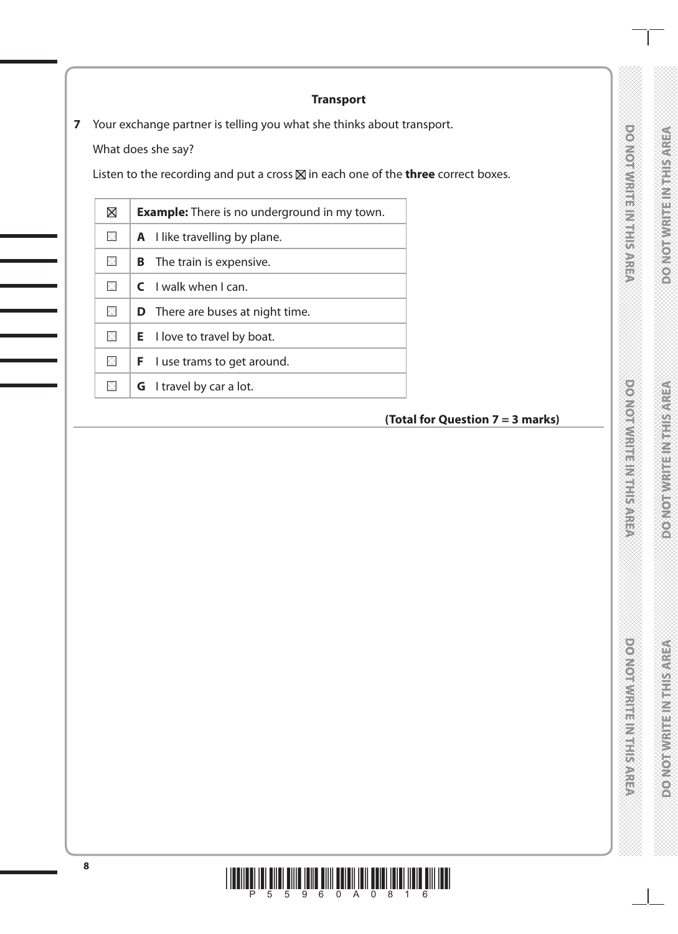# **DO NOTWRITEINITE** SAFE

**DOMONTHE REFERENCE** 

**REPARED MARKET MARKET DESCRIPTION** 

**DOOMOODWARE MARKETING** 

**DOMOITIVE HE NEEDS ARE** 

# **Transport**

**7** Your exchange partner is telling you what she thinks about transport.

What does she say?

Listen to the recording and put a cross  $\boxtimes$  in each one of the **three** correct boxes.

| $\boxtimes$       | <b>Example:</b> There is no underground in my town. |
|-------------------|-----------------------------------------------------|
| $\times$          | <b>A</b> I like travelling by plane.                |
| $\times$          | B<br>The train is expensive.                        |
| $\mathbb{\times}$ | $C$ I walk when I can.                              |
| $\times$          | <b>D</b> There are buses at night time.             |
| $\times$          | $E$ I love to travel by boat.                       |
| X                 | I use trams to get around.<br>F.                    |
|                   | <b>G</b> I travel by car a lot.                     |

# **(Total for Question 7 = 3 marks)**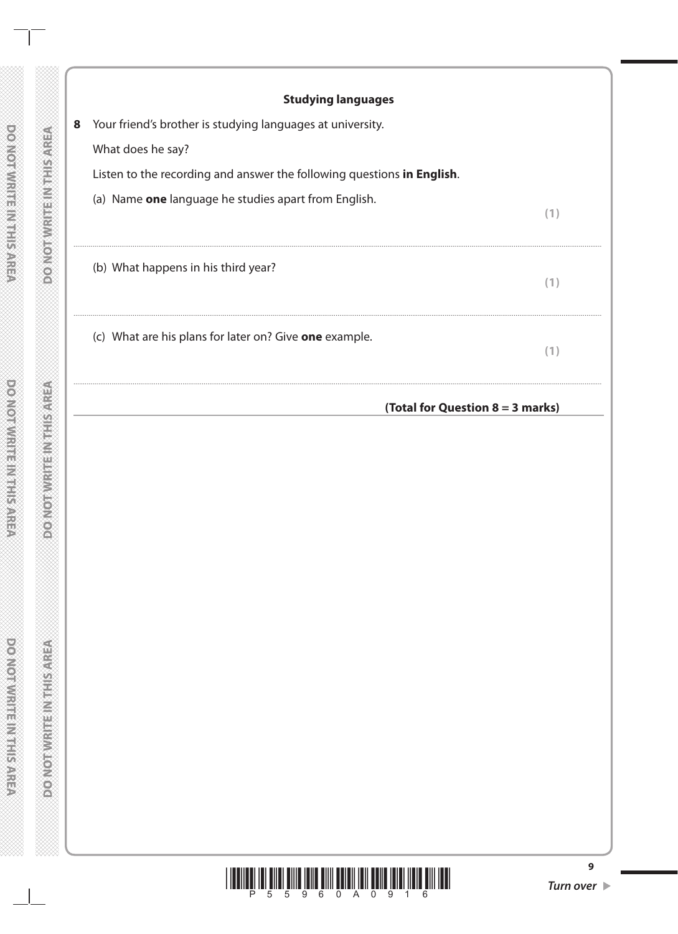|   | <b>Studying languages</b>                                                                                                      |     |
|---|--------------------------------------------------------------------------------------------------------------------------------|-----|
| 8 | Your friend's brother is studying languages at university.                                                                     |     |
|   | What does he say?                                                                                                              |     |
|   | Listen to the recording and answer the following questions in English.<br>(a) Name one language he studies apart from English. |     |
|   |                                                                                                                                | (1) |
|   | (b) What happens in his third year?                                                                                            | (1) |
|   | (c) What are his plans for later on? Give one example.                                                                         | (1) |
|   | (Total for Question 8 = 3 marks)                                                                                               |     |
|   |                                                                                                                                |     |
|   |                                                                                                                                |     |
|   |                                                                                                                                |     |
|   |                                                                                                                                |     |
|   |                                                                                                                                |     |
|   |                                                                                                                                |     |
|   |                                                                                                                                |     |
|   |                                                                                                                                |     |
|   |                                                                                                                                |     |
|   |                                                                                                                                |     |
|   |                                                                                                                                |     |
|   |                                                                                                                                |     |
|   |                                                                                                                                |     |
|   |                                                                                                                                |     |
|   |                                                                                                                                |     |

DO NOT WRITE IN THIS AREA

 $\perp$ 

 $\overline{\phantom{a}}$ 

**DOMOTWRITEINTHISAREA**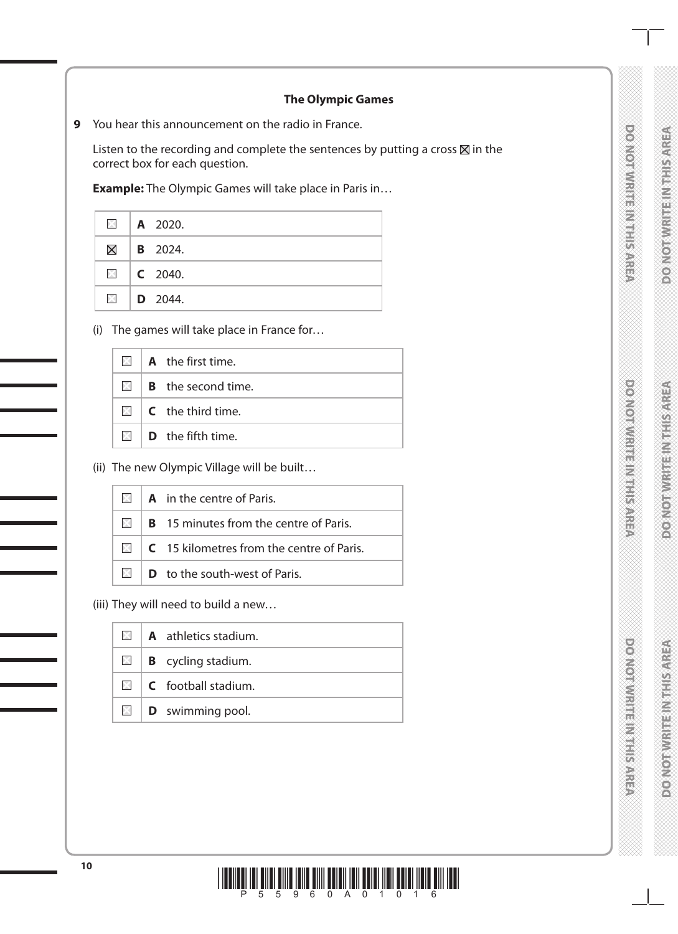**POWORMAN ENGINEERING** 

**DOMORATION FRIENDS** 

# **The Olympic Games**

**9** You hear this announcement on the radio in France.

Listen to the recording and complete the sentences by putting a cross  $\boxtimes$  in the correct box for each question.

**Example:** The Olympic Games will take place in Paris in…

|             | $\blacksquare$   A 2020. |
|-------------|--------------------------|
| $\boxtimes$ | $\vert$ <b>B</b> 2024.   |
|             | $\Box$ C 2040.           |
|             | $\boxtimes$ D 2044.      |

(i) The games will take place in France for…

| $\Box$ <b>A</b> the first time.              |
|----------------------------------------------|
| $\boxtimes$ <b>B</b> the second time.        |
| $\boxtimes$ $\blacksquare$ C the third time. |
| $\boxtimes$ $\blacksquare$ D the fifth time. |

(ii) The new Olympic Village will be built…

|  | $\Box$ <b>A</b> in the centre of Paris.                           |
|--|-------------------------------------------------------------------|
|  | $\boxtimes$   <b>B</b> 15 minutes from the centre of Paris.       |
|  | $\blacksquare$   <b>C</b> 15 kilometres from the centre of Paris. |
|  | $\boxtimes$ D to the south-west of Paris.                         |

(iii) They will need to build a new…

|  | $\Box$ <b>A</b> athletics stadium.      |
|--|-----------------------------------------|
|  | $\boxtimes$   <b>B</b> cycling stadium. |
|  | $\Box$ <b>C</b> football stadium.       |
|  | $\Box$ <b>D</b> swimming pool.          |

**DOMOTIVRITE INTHISAREA** 

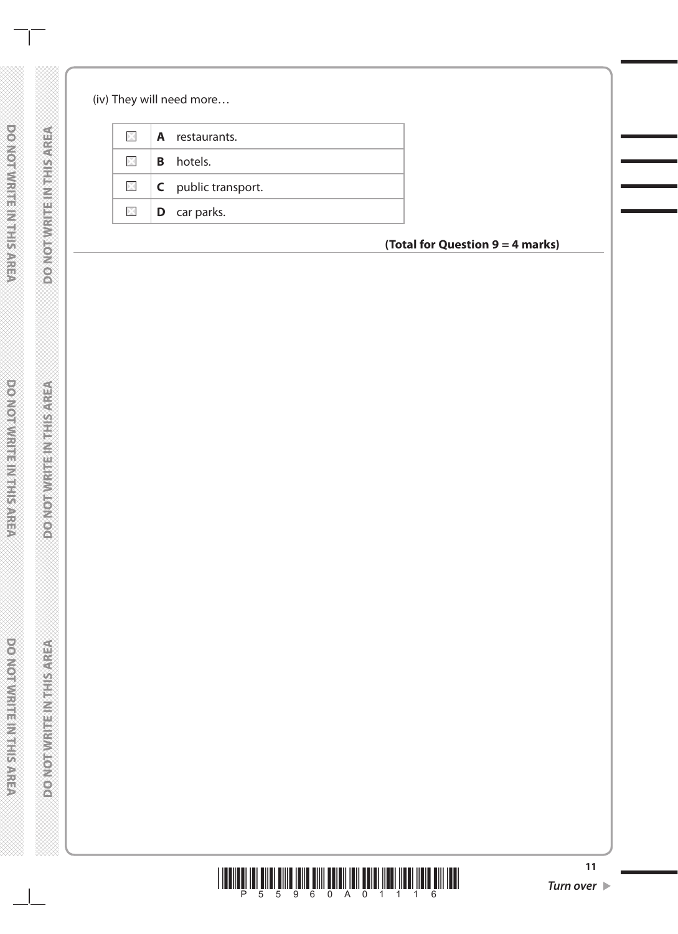(iv) They will need more…

| $\boxtimes$   A restaurants.      |
|-----------------------------------|
| $\boxtimes$ <b>B</b> hotels.      |
| $\Box$ <b>C</b> public transport. |
| $\Box$ <b>D</b> car parks.        |
|                                   |

**(Total for Question 9 = 4 marks)**



**DO NOTWRITEINITE SAFE** 

**DOMORATION IN THE MATCHES** 

**DO NOTWARE STARES**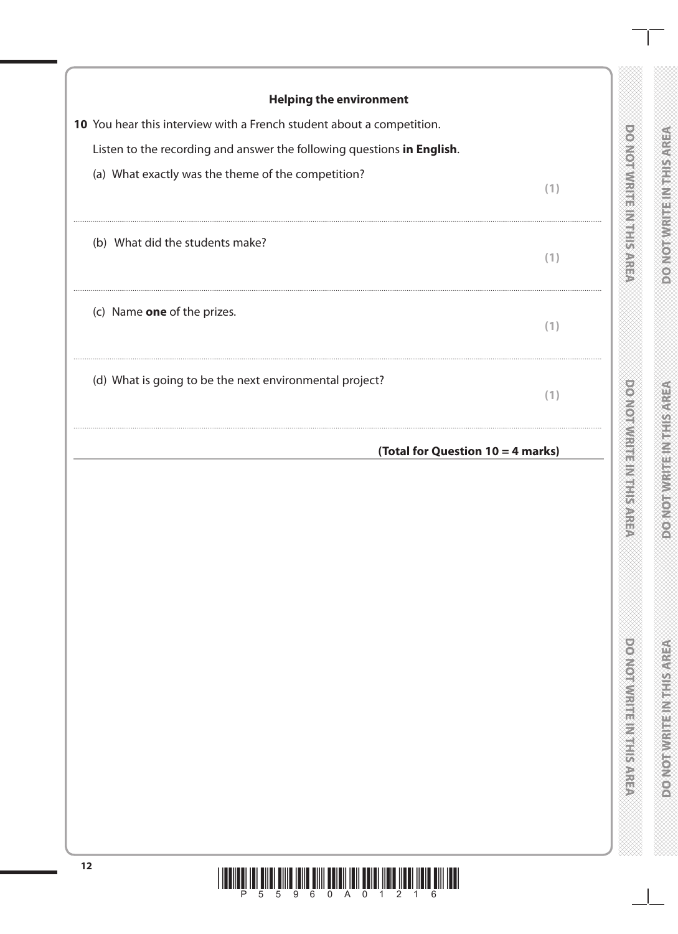| <b>Helping the environment</b><br>10 You hear this interview with a French student about a competition. |     |                                          |                                |
|---------------------------------------------------------------------------------------------------------|-----|------------------------------------------|--------------------------------|
| Listen to the recording and answer the following questions in English.                                  |     |                                          |                                |
| (a) What exactly was the theme of the competition?                                                      | (1) |                                          |                                |
| (b) What did the students make?                                                                         | (1) | <b>DONORAN HERIOTES AND STREET</b>       |                                |
| (c) Name one of the prizes.                                                                             | (1) |                                          |                                |
| (d) What is going to be the next environmental project?                                                 | (1) |                                          |                                |
| (Total for Question 10 = 4 marks)                                                                       |     | <b>ONGINIAL TELEPHON</b><br>D            | ßC                             |
|                                                                                                         |     | <b>DO NOT WAS ITED AND FIRST RESERVE</b> | <b>PONORUGENER IN ELECTRIC</b> |
| 12<br><u> 1 10011001 101 01101 01110 10110 01111 001011 1011 00101 11010 11001 11010 0111 1001</u>      |     |                                          |                                |

<u>THEN IT IS NOT FIND AND LINE ON BELLIN AND PART AND AND LINE ON HERE</u>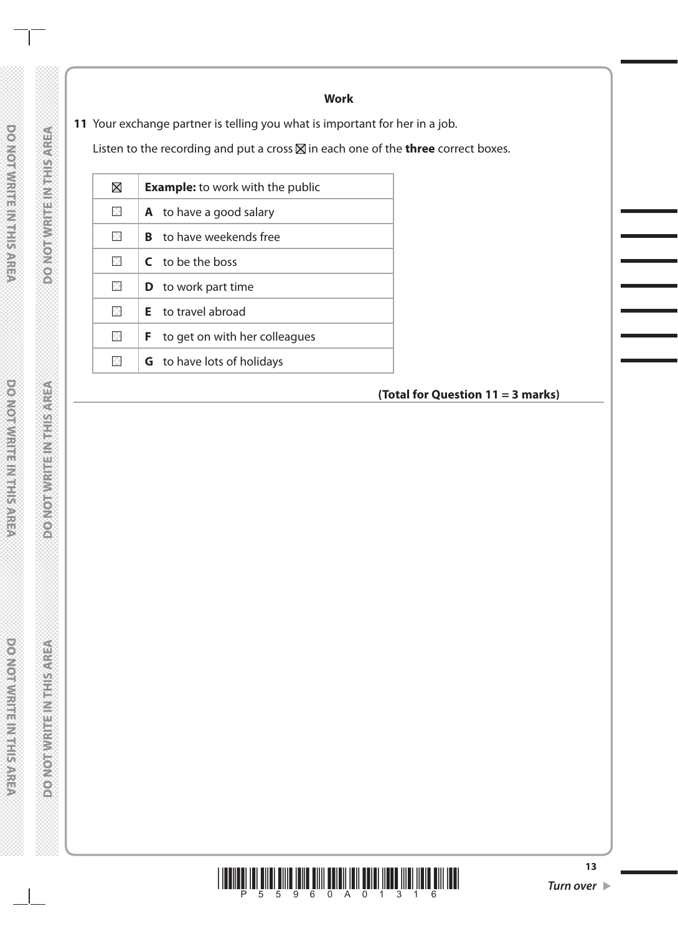**Work**

**11** Your exchange partner is telling you what is important for her in a job.

Listen to the recording and put a cross  $\boxtimes$  in each one of the **three** correct boxes.

| $\boxtimes$  | <b>Example:</b> to work with the public |
|--------------|-----------------------------------------|
| $\mathbb{X}$ | <b>A</b> to have a good salary          |
| $\mathbb{X}$ | <b>B</b> to have weekends free          |
| $\mathbb{X}$ | C to be the boss                        |
| $\mathbb{X}$ | <b>D</b> to work part time              |
| $\mathbb{X}$ | <b>E</b> to travel abroad               |
| ×            | to get on with her colleagues<br>F.     |
| ×            | <b>G</b> to have lots of holidays       |
|              |                                         |

**(Total for Question 11 = 3 marks)**



**DO NOTWRITEINITE SAFE** 

**DOMORWATE INSTRUCTION** 

**DO NOT WRITE/NATHS/AREA**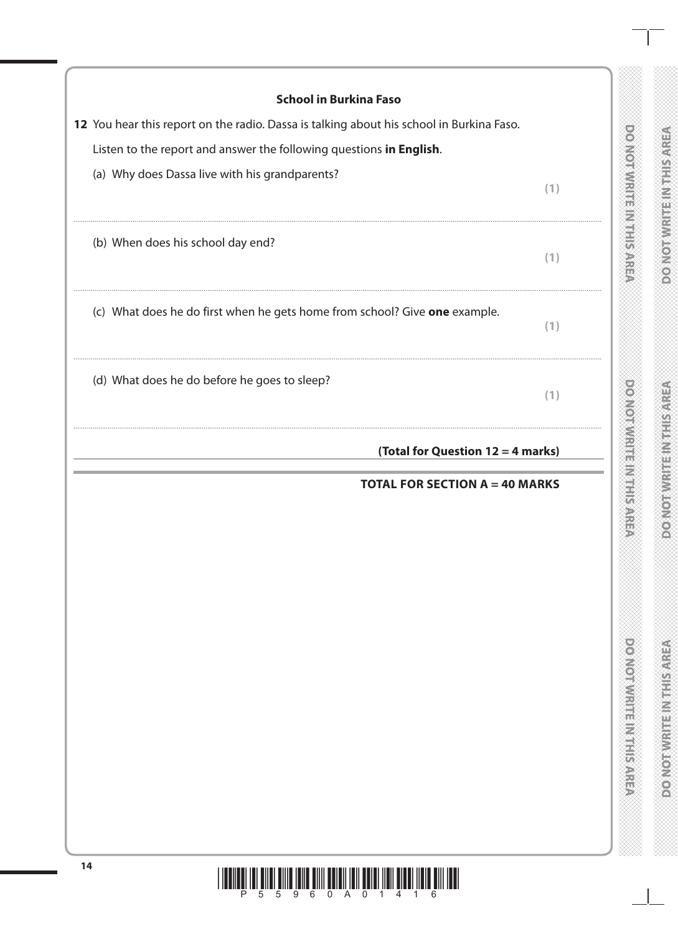| <b>School in Burkina Faso</b>                                                            |     |                                     |                                       |
|------------------------------------------------------------------------------------------|-----|-------------------------------------|---------------------------------------|
| 12 You hear this report on the radio. Dassa is talking about his school in Burkina Faso. |     | $\frac{1}{2}$                       |                                       |
| Listen to the report and answer the following questions in English.                      |     |                                     |                                       |
| (a) Why does Dassa live with his grandparents?                                           | (1) |                                     |                                       |
| (b) When does his school day end?                                                        | (1) |                                     |                                       |
| (c) What does he do first when he gets home from school? Give one example.               | (1) |                                     |                                       |
| (d) What does he do before he goes to sleep?                                             | (1) |                                     |                                       |
| (Total for Question 12 = 4 marks)                                                        |     | <b>MONAMENT</b>                     |                                       |
| <b>TOTAL FOR SECTION A = 40 MARKS</b>                                                    |     | Ð                                   | €                                     |
|                                                                                          |     | <b>Downloadwith the Water SARRA</b> | <b>REPARENT BUT EN MODERN CONTROL</b> |
|                                                                                          |     |                                     |                                       |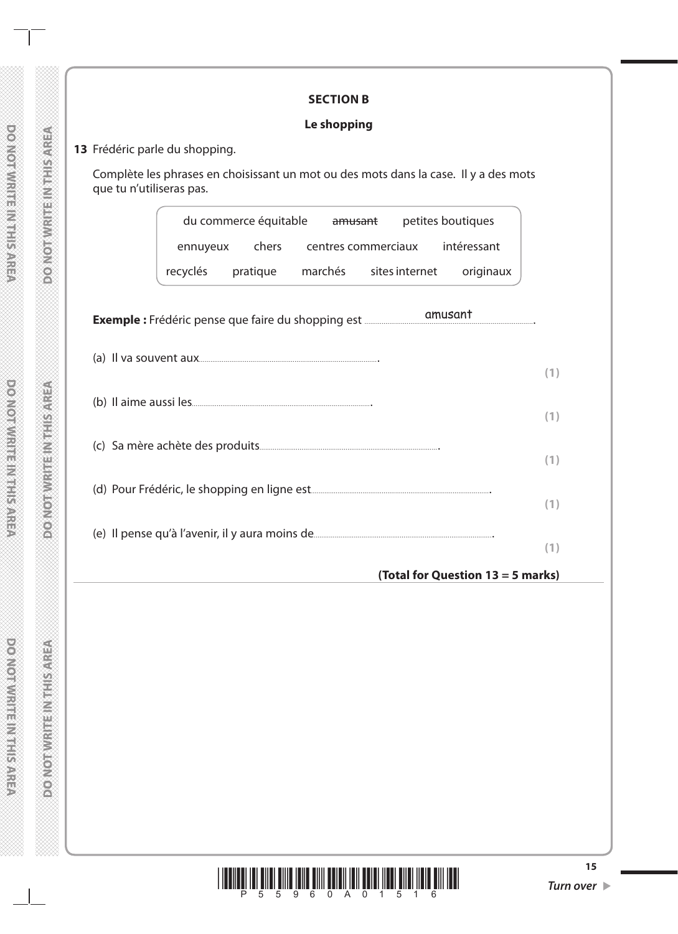|                          | Le shopping                                                                                                   |     |
|--------------------------|---------------------------------------------------------------------------------------------------------------|-----|
|                          | 13 Frédéric parle du shopping.                                                                                |     |
|                          |                                                                                                               |     |
| que tu n'utiliseras pas. | Complète les phrases en choisissant un mot ou des mots dans la case. Il y a des mots                          |     |
|                          | du commerce équitable amusant<br>petites boutiques                                                            |     |
|                          | chers centres commerciaux<br>intéressant<br>ennuyeux                                                          |     |
|                          | marchés sites internet<br>recyclés<br>pratique<br>originaux                                                   |     |
|                          |                                                                                                               |     |
|                          |                                                                                                               |     |
|                          | Exemple : Frédéric pense que faire du shopping est met des contres des contrasts des contrasts de la partie d |     |
|                          |                                                                                                               |     |
|                          |                                                                                                               |     |
|                          |                                                                                                               | (1) |
|                          |                                                                                                               |     |
|                          |                                                                                                               | (1) |
|                          |                                                                                                               |     |
|                          |                                                                                                               | (1) |
|                          |                                                                                                               |     |
|                          |                                                                                                               | (1) |
|                          |                                                                                                               |     |

a ka

**DOMORWIGHT INTHISAREA**